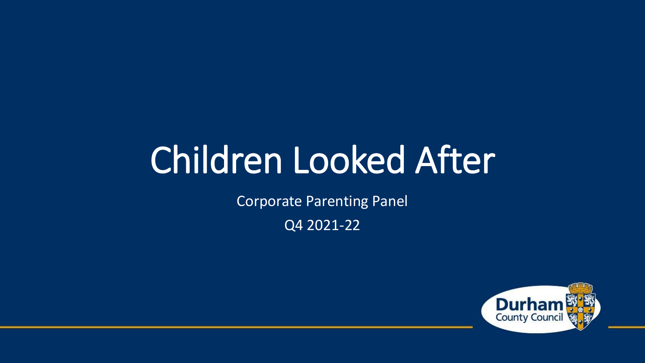# Children Looked After

Corporate Parenting Panel

Q4 2021-22

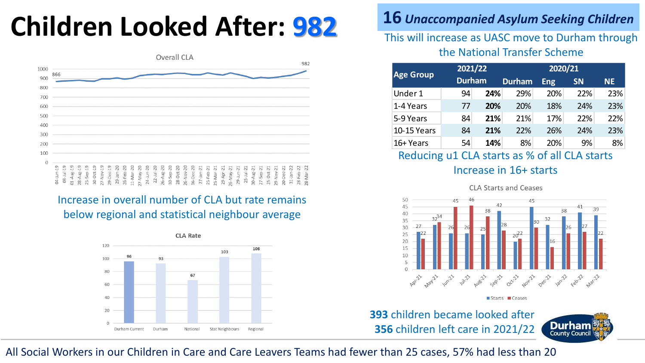## **Children Looked After: 982 <sup>16</sup>** *Unaccompanied Asylum Seeking Children*



#### Increase in overall number of CLA but rate remains below regional and statistical neighbour average



### This will increase as UASC move to Durham through the National Transfer Scheme

| <b>Age Group</b>   | 2021/22       |            | 2020/21       |            |           |     |
|--------------------|---------------|------------|---------------|------------|-----------|-----|
|                    | <b>Durham</b> |            | <b>Durham</b> | <b>Eng</b> | <b>SN</b> | NE. |
| Under 1            | 94            | 24%        | 29%           | 20%        | 22%       | 23% |
| 1-4 Years          | 77            | <b>20%</b> | 20%           | 18%        | 24%       | 23% |
| 5-9 Years          | 84            | 21%        | 21%           | 17%        | 22%       | 22% |
| <b>10-15 Years</b> | 84            | 21%        | 22%           | 26%        | 24%       | 23% |
| 16+ Years          | 54            | 14%        | 8%            | 20%        | 9%        | 8%  |

#### Reducing u1 CLA starts as % of all CLA starts Increase in 16+ starts



**393** children became looked after **356** children left care in 2021/22



### All Social Workers in our Children in Care and Care Leavers Teams had fewer than 25 cases, 57% had less than 20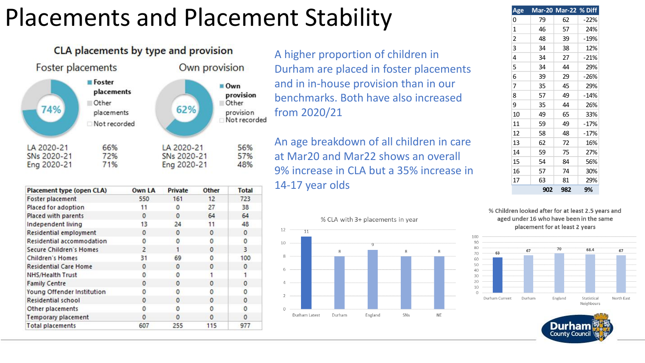### Placements and Placement Stability



| Placement type (open CLA)        | Own LA         | Private      | <b>Other</b> | <b>Total</b> |
|----------------------------------|----------------|--------------|--------------|--------------|
| <b>Foster placement</b>          | 550            | 161          | 12           | 723          |
| Placed for adoption              | 11             | $\Omega$     | 27           | 38           |
| Placed with parents              | $\Omega$       | $\Omega$     | 64           | 64           |
| Independent living               | 13             | 24           | 11           | 48           |
| Residential employment           | $\circ$        | $\mathbf 0$  | $\Omega$     | $\mathbf 0$  |
| <b>Residential accommodation</b> | 0              | $\mathbf{0}$ | 0            | $\mathbf 0$  |
| <b>Secure Children's Homes</b>   | $\overline{c}$ | 1            | $\Omega$     | 3            |
| <b>Children's Homes</b>          | 31             | 69           | 0            | 100          |
| <b>Residential Care Home</b>     | $\Omega$       | $\circ$      | $\Omega$     | $\mathbf 0$  |
| NHS/Health Trust                 | 0              | $\mathbf{0}$ |              |              |
| <b>Family Centre</b>             | $\circ$        | $\mathbf{0}$ | $\Omega$     | 0            |
| Young Offender Institution       | 0              | $\Omega$     | O            | 0            |
| Residential school               | O              | $\mathbf{0}$ | $\Omega$     | $\mathbf 0$  |
| Other placements                 | 0              | $\Omega$     | 0            | $\mathbf 0$  |
| <b>Temporary placement</b>       | $\mathbf 0$    | 0            | $\Omega$     | $\mathbf 0$  |
| <b>Total placements</b>          | 607            | 255          | 115          | 977          |

A higher proportion of children in Durham are placed in foster placements and in in-house provision than in our benchmarks. Both have also increased from 2020/21

An age breakdown of all children in care at Mar20 and Mar22 shows an overall 9% increase in CLA but a 35% increase in 14-17 year olds



| Age |     | Mar-20 Mar-22 % Diff |        |
|-----|-----|----------------------|--------|
| 0   | 79  | 62                   | -22%   |
| 1   | 46  | 57                   | 24%    |
| 2   | 48  | 39                   | $-19%$ |
| 3   | 34  | 38                   | 12%    |
| 4   | 34  | 27                   | $-21%$ |
| 5   | 34  | 44                   | 29%    |
| 6   | 39  | 29                   | $-26%$ |
| 7   | 35  | 45                   | 29%    |
| 8   | 57  | 49                   | $-14%$ |
| 9   | 35  | 44                   | 26%    |
| 10  | 49  | 65                   | 33%    |
| 11  | 59  | 49                   | $-17%$ |
| 12  | 58  | 48                   | $-17%$ |
| 13  | 62  | 72                   | 16%    |
| 14  | 59  | 75                   | 27%    |
| 15  | 54  | 84                   | 56%    |
| 16  | 57  | 74                   | 30%    |
| 17  | 63  | 81                   | 29%    |
|     | 902 | 982                  | 9%     |

% Children looked after for at least 2.5 years and aged under 16 who have been in the same placement for at least 2 years



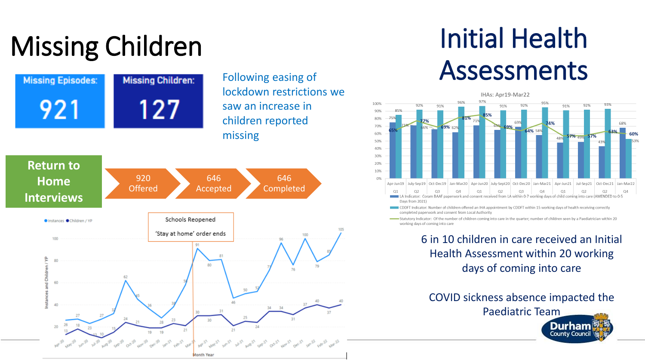# Missing Children



# Initial Health Assessments



Statutory Indicator: Of the number of children coming into care in the quarter; number of children seen by a Paediatrician within 20 working days of coming into care

> 6 in 10 children in care received an Initial Health Assessment within 20 working days of coming into care

COVID sickness absence impacted the Paediatric Team

County Cound